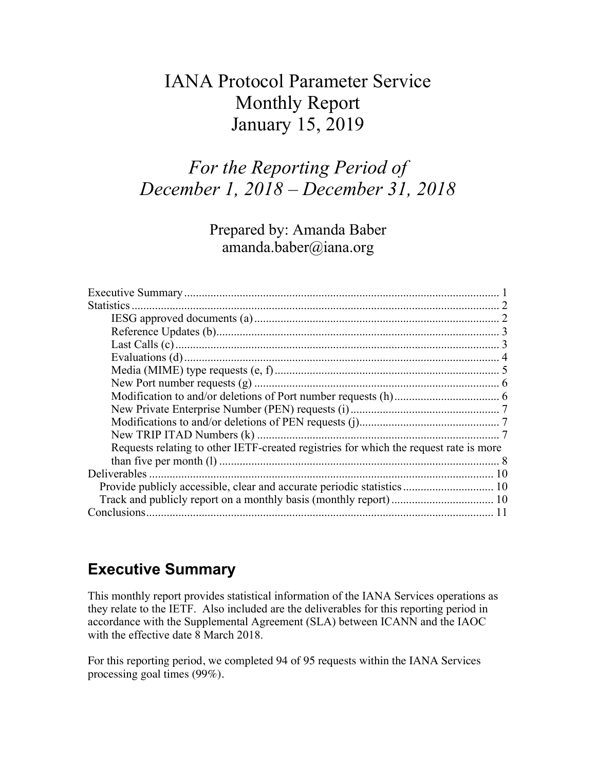# IANA Protocol Parameter Service Monthly Report January 15, 2019

# *For the Reporting Period of December 1, 2018 – December 31, 2018*

Prepared by: Amanda Baber amanda.baber@iana.org

| Requests relating to other IETF-created registries for which the request rate is more |  |
|---------------------------------------------------------------------------------------|--|
|                                                                                       |  |
|                                                                                       |  |
| Provide publicly accessible, clear and accurate periodic statistics 10                |  |
|                                                                                       |  |
|                                                                                       |  |

## **Executive Summary**

This monthly report provides statistical information of the IANA Services operations as they relate to the IETF. Also included are the deliverables for this reporting period in accordance with the Supplemental Agreement (SLA) between ICANN and the IAOC with the effective date 8 March 2018.

For this reporting period, we completed 94 of 95 requests within the IANA Services processing goal times (99%).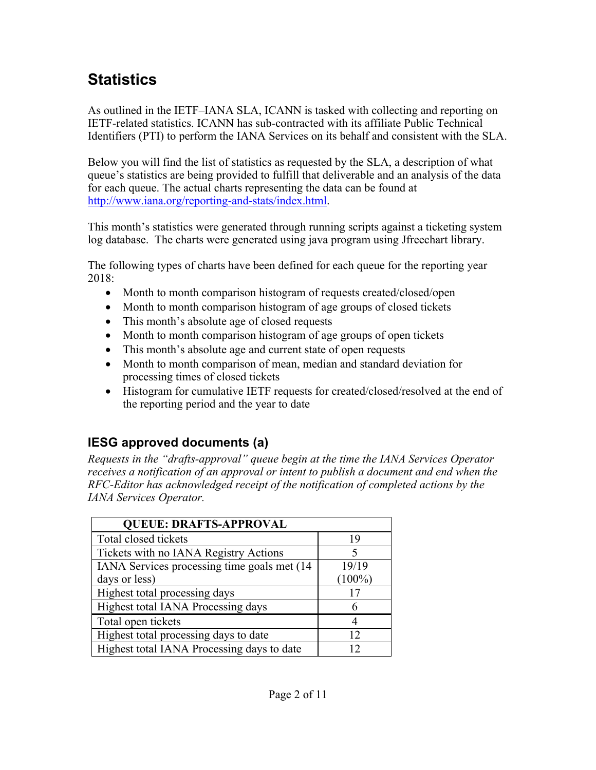# **Statistics**

As outlined in the IETF–IANA SLA, ICANN is tasked with collecting and reporting on IETF-related statistics. ICANN has sub-contracted with its affiliate Public Technical Identifiers (PTI) to perform the IANA Services on its behalf and consistent with the SLA.

Below you will find the list of statistics as requested by the SLA, a description of what queue's statistics are being provided to fulfill that deliverable and an analysis of the data for each queue. The actual charts representing the data can be found at http://www.iana.org/reporting-and-stats/index.html.

This month's statistics were generated through running scripts against a ticketing system log database. The charts were generated using java program using Jfreechart library.

The following types of charts have been defined for each queue for the reporting year 2018:

- Month to month comparison histogram of requests created/closed/open
- Month to month comparison histogram of age groups of closed tickets
- This month's absolute age of closed requests
- Month to month comparison histogram of age groups of open tickets
- This month's absolute age and current state of open requests
- Month to month comparison of mean, median and standard deviation for processing times of closed tickets
- Histogram for cumulative IETF requests for created/closed/resolved at the end of the reporting period and the year to date

## **IESG approved documents (a)**

*Requests in the "drafts-approval" queue begin at the time the IANA Services Operator receives a notification of an approval or intent to publish a document and end when the RFC-Editor has acknowledged receipt of the notification of completed actions by the IANA Services Operator.*

| <b>QUEUE: DRAFTS-APPROVAL</b>                |           |
|----------------------------------------------|-----------|
| Total closed tickets                         | 19        |
| Tickets with no IANA Registry Actions        |           |
| IANA Services processing time goals met (14) | 19/19     |
| days or less)                                | $(100\%)$ |
| Highest total processing days                |           |
| Highest total IANA Processing days           |           |
| Total open tickets                           |           |
| Highest total processing days to date        | 12        |
| Highest total IANA Processing days to date   |           |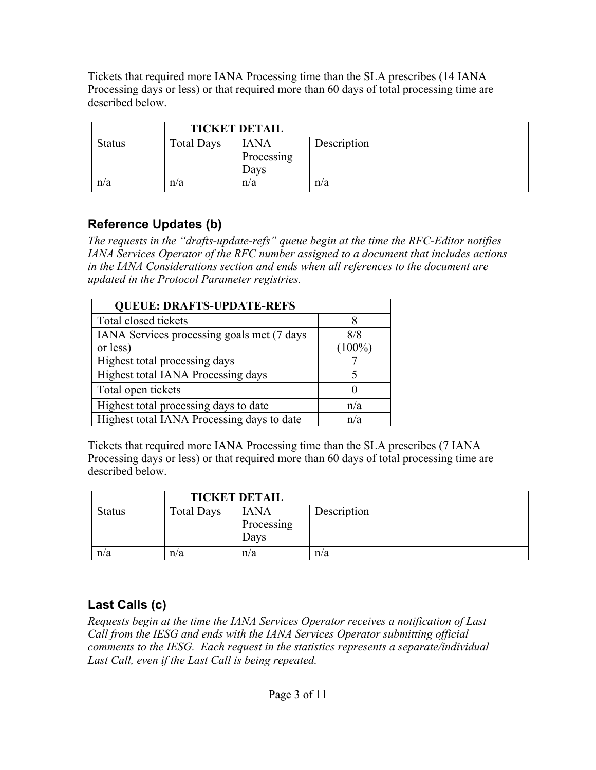Tickets that required more IANA Processing time than the SLA prescribes (14 IANA Processing days or less) or that required more than 60 days of total processing time are described below.

|               | <b>TICKET DETAIL</b> |                                   |             |
|---------------|----------------------|-----------------------------------|-------------|
| <b>Status</b> | <b>Total Days</b>    | <b>IANA</b><br>Processing<br>Davs | Description |
| n/a           | n/a                  | n/a                               | n/a         |

## **Reference Updates (b)**

*The requests in the "drafts-update-refs" queue begin at the time the RFC-Editor notifies IANA Services Operator of the RFC number assigned to a document that includes actions in the IANA Considerations section and ends when all references to the document are updated in the Protocol Parameter registries.*

| <b>QUEUE: DRAFTS-UPDATE-REFS</b>           |           |
|--------------------------------------------|-----------|
| Total closed tickets                       |           |
| IANA Services processing goals met (7 days | 8/8       |
| or less)                                   | $(100\%)$ |
| Highest total processing days              |           |
| Highest total IANA Processing days         |           |
| Total open tickets                         |           |
| Highest total processing days to date      | n/a       |
| Highest total IANA Processing days to date | n/a       |

Tickets that required more IANA Processing time than the SLA prescribes (7 IANA Processing days or less) or that required more than 60 days of total processing time are described below.

|               |                   | <b>TICKET DETAIL</b>              |             |
|---------------|-------------------|-----------------------------------|-------------|
| <b>Status</b> | <b>Total Days</b> | <b>IANA</b><br>Processing<br>Davs | Description |
| n/a           | n/a               | n/a                               | n/a         |

## **Last Calls (c)**

*Requests begin at the time the IANA Services Operator receives a notification of Last Call from the IESG and ends with the IANA Services Operator submitting official comments to the IESG. Each request in the statistics represents a separate/individual Last Call, even if the Last Call is being repeated.*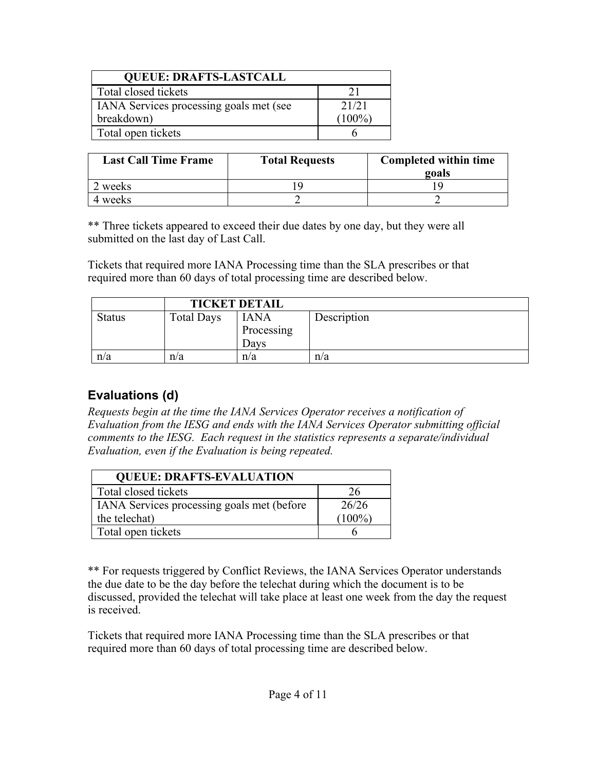| <b>QUEUE: DRAFTS-LASTCALL</b>           |           |  |
|-----------------------------------------|-----------|--|
| Total closed tickets                    |           |  |
| IANA Services processing goals met (see | 21/21     |  |
| breakdown)                              | $(100\%)$ |  |
| Total open tickets                      |           |  |

| <b>Last Call Time Frame</b> | <b>Total Requests</b> | Completed within time<br>goals |
|-----------------------------|-----------------------|--------------------------------|
| 2 weeks                     |                       |                                |
| 4 weeks                     |                       |                                |

\*\* Three tickets appeared to exceed their due dates by one day, but they were all submitted on the last day of Last Call.

Tickets that required more IANA Processing time than the SLA prescribes or that required more than 60 days of total processing time are described below.

|               |                   | <b>TICKET DETAIL</b>              |             |
|---------------|-------------------|-----------------------------------|-------------|
| <b>Status</b> | <b>Total Days</b> | <b>IANA</b><br>Processing<br>Davs | Description |
| n/a           | n/a               | n/a                               | n/a         |

## **Evaluations (d)**

*Requests begin at the time the IANA Services Operator receives a notification of Evaluation from the IESG and ends with the IANA Services Operator submitting official comments to the IESG. Each request in the statistics represents a separate/individual Evaluation, even if the Evaluation is being repeated.*

| <b>QUEUE: DRAFTS-EVALUATION</b>                   |           |  |
|---------------------------------------------------|-----------|--|
| Total closed tickets                              | 26        |  |
| <b>IANA</b> Services processing goals met (before | 26/26     |  |
| the telechat)                                     | $(100\%)$ |  |
| Total open tickets                                |           |  |

\*\* For requests triggered by Conflict Reviews, the IANA Services Operator understands the due date to be the day before the telechat during which the document is to be discussed, provided the telechat will take place at least one week from the day the request is received.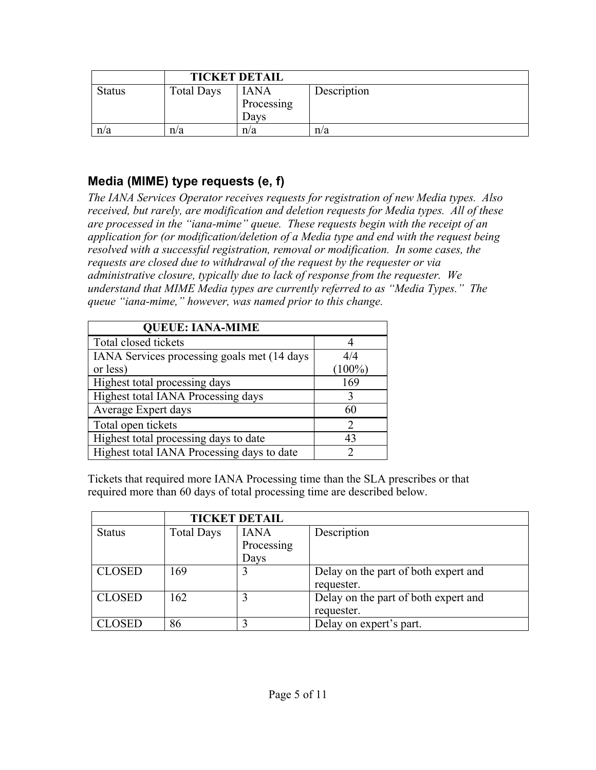|               | <b>TICKET DETAIL</b> |                                   |             |
|---------------|----------------------|-----------------------------------|-------------|
| <b>Status</b> | <b>Total Days</b>    | <b>IANA</b><br>Processing<br>Days | Description |
| n/a           | n/a                  | n/a                               | n/a         |

#### **Media (MIME) type requests (e, f)**

*The IANA Services Operator receives requests for registration of new Media types. Also received, but rarely, are modification and deletion requests for Media types. All of these are processed in the "iana-mime" queue. These requests begin with the receipt of an application for (or modification/deletion of a Media type and end with the request being resolved with a successful registration, removal or modification. In some cases, the requests are closed due to withdrawal of the request by the requester or via administrative closure, typically due to lack of response from the requester. We understand that MIME Media types are currently referred to as "Media Types." The queue "iana-mime," however, was named prior to this change.*

| <b>QUEUE: IANA-MIME</b>                      |               |
|----------------------------------------------|---------------|
| Total closed tickets                         |               |
| IANA Services processing goals met (14 days) | 4/4           |
| or less)                                     | $(100\%)$     |
| Highest total processing days                | 169           |
| Highest total IANA Processing days           | ζ             |
| Average Expert days                          | 60            |
| Total open tickets                           | $\mathcal{P}$ |
| Highest total processing days to date        | 43            |
| Highest total IANA Processing days to date   |               |

|               | <b>TICKET DETAIL</b> |             |                                      |
|---------------|----------------------|-------------|--------------------------------------|
| <b>Status</b> | <b>Total Days</b>    | <b>IANA</b> | Description                          |
|               |                      | Processing  |                                      |
|               |                      | Days        |                                      |
| <b>CLOSED</b> | 169                  | 3           | Delay on the part of both expert and |
|               |                      |             | requester.                           |
| <b>CLOSED</b> | 162                  |             | Delay on the part of both expert and |
|               |                      |             | requester.                           |
| CLOSED        | 86                   |             | Delay on expert's part.              |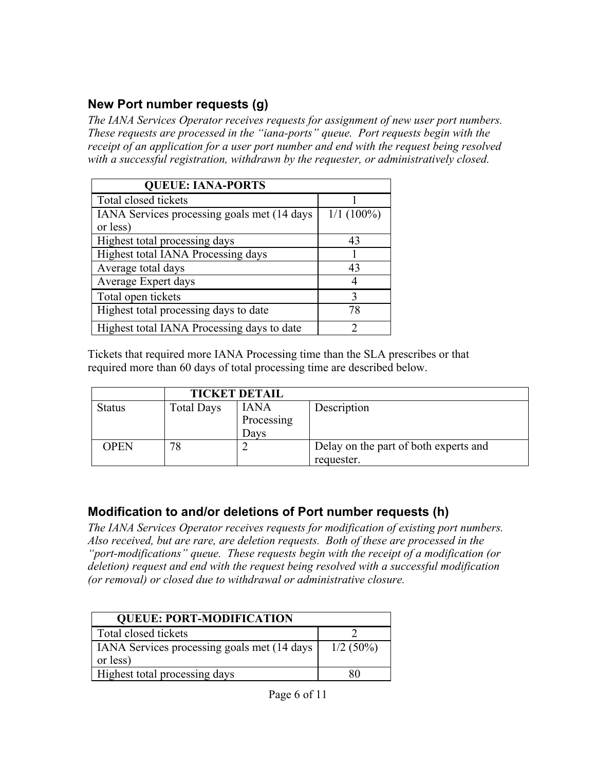#### **New Port number requests (g)**

*The IANA Services Operator receives requests for assignment of new user port numbers. These requests are processed in the "iana-ports" queue. Port requests begin with the receipt of an application for a user port number and end with the request being resolved with a successful registration, withdrawn by the requester, or administratively closed.*

| <b>QUEUE: IANA-PORTS</b>                                 |              |
|----------------------------------------------------------|--------------|
| Total closed tickets                                     |              |
| IANA Services processing goals met (14 days)<br>or less) | $1/1(100\%)$ |
|                                                          |              |
| Highest total processing days                            | 43           |
| Highest total IANA Processing days                       |              |
| Average total days                                       | 43           |
| Average Expert days                                      |              |
| Total open tickets                                       | 3            |
| Highest total processing days to date                    | 78           |
| Highest total IANA Processing days to date               |              |

Tickets that required more IANA Processing time than the SLA prescribes or that required more than 60 days of total processing time are described below.

|               | <b>TICKET DETAIL</b> |             |                                       |
|---------------|----------------------|-------------|---------------------------------------|
| <b>Status</b> | <b>Total Days</b>    | <b>IANA</b> | Description                           |
|               |                      | Processing  |                                       |
|               |                      | Davs        |                                       |
| <b>OPEN</b>   | 78                   | ∠           | Delay on the part of both experts and |
|               |                      |             | requester.                            |

#### **Modification to and/or deletions of Port number requests (h)**

*The IANA Services Operator receives requests for modification of existing port numbers. Also received, but are rare, are deletion requests. Both of these are processed in the "port-modifications" queue. These requests begin with the receipt of a modification (or deletion) request and end with the request being resolved with a successful modification (or removal) or closed due to withdrawal or administrative closure.*

| <b>QUEUE: PORT-MODIFICATION</b>                     |             |  |  |
|-----------------------------------------------------|-------------|--|--|
| Total closed tickets                                |             |  |  |
| <b>IANA</b> Services processing goals met (14 days) | $1/2$ (50%) |  |  |
| or less)                                            |             |  |  |
| Highest total processing days                       |             |  |  |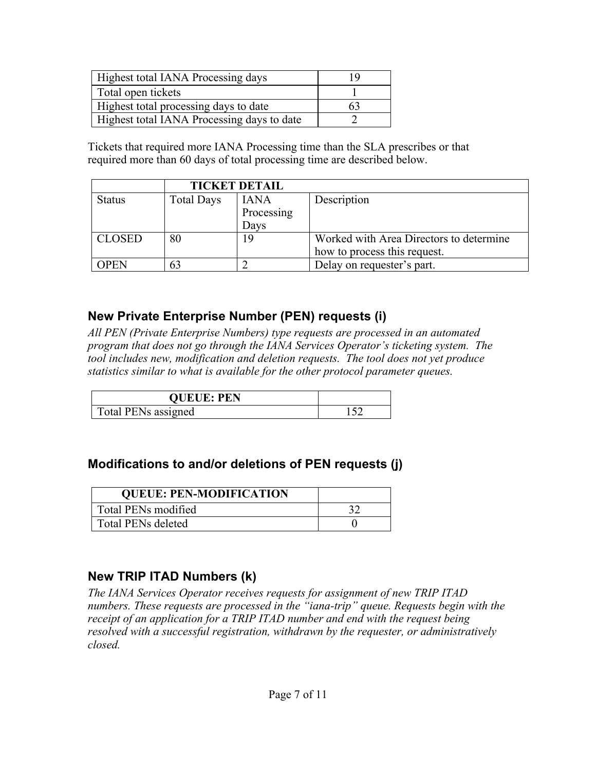| Highest total IANA Processing days         | 19  |
|--------------------------------------------|-----|
| Total open tickets                         |     |
| Highest total processing days to date      | h i |
| Highest total IANA Processing days to date |     |

Tickets that required more IANA Processing time than the SLA prescribes or that required more than 60 days of total processing time are described below.

|               |                   | <b>TICKET DETAIL</b> |                                         |
|---------------|-------------------|----------------------|-----------------------------------------|
| <b>Status</b> | <b>Total Days</b> | <b>IANA</b>          | Description                             |
|               |                   | Processing           |                                         |
|               |                   | Days                 |                                         |
| <b>CLOSED</b> | 80                | 19                   | Worked with Area Directors to determine |
|               |                   |                      | how to process this request.            |
| OPEN          | 63                |                      | Delay on requester's part.              |

#### **New Private Enterprise Number (PEN) requests (i)**

*All PEN (Private Enterprise Numbers) type requests are processed in an automated program that does not go through the IANA Services Operator's ticketing system. The tool includes new, modification and deletion requests. The tool does not yet produce statistics similar to what is available for the other protocol parameter queues.*

| <b>QUEUE: PEN</b>   |  |
|---------------------|--|
| Total PENs assigned |  |

#### **Modifications to and/or deletions of PEN requests (j)**

| <b>QUEUE: PEN-MODIFICATION</b> |  |
|--------------------------------|--|
| Total PENs modified            |  |
| <b>Total PENs deleted</b>      |  |

## **New TRIP ITAD Numbers (k)**

*The IANA Services Operator receives requests for assignment of new TRIP ITAD numbers. These requests are processed in the "iana-trip" queue. Requests begin with the receipt of an application for a TRIP ITAD number and end with the request being resolved with a successful registration, withdrawn by the requester, or administratively closed.*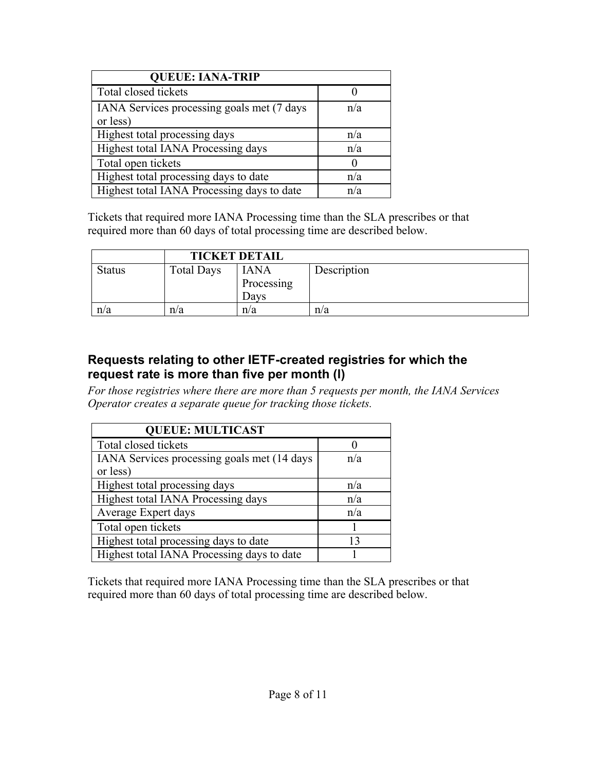| <b>QUEUE: IANA-TRIP</b>                                |     |
|--------------------------------------------------------|-----|
| Total closed tickets                                   |     |
| IANA Services processing goals met (7 days<br>or less) | n/a |
| Highest total processing days                          | n/a |
| Highest total IANA Processing days                     | n/a |
| Total open tickets                                     |     |
| Highest total processing days to date                  | n/a |
| Highest total IANA Processing days to date             | n/a |

Tickets that required more IANA Processing time than the SLA prescribes or that required more than 60 days of total processing time are described below.

|               | <b>TICKET DETAIL</b> |                                   |             |
|---------------|----------------------|-----------------------------------|-------------|
| <b>Status</b> | <b>Total Days</b>    | <b>IANA</b><br>Processing<br>Davs | Description |
| n/a           | n/a                  | n/a                               | n/a         |

#### **Requests relating to other IETF-created registries for which the request rate is more than five per month (l)**

*For those registries where there are more than 5 requests per month, the IANA Services Operator creates a separate queue for tracking those tickets.* 

| <b>QUEUE: MULTICAST</b>                     |     |  |  |
|---------------------------------------------|-----|--|--|
| Total closed tickets                        |     |  |  |
| IANA Services processing goals met (14 days | n/a |  |  |
| or less)                                    |     |  |  |
| Highest total processing days               | n/a |  |  |
| Highest total IANA Processing days          | n/a |  |  |
| Average Expert days                         | n/a |  |  |
| Total open tickets                          |     |  |  |
| Highest total processing days to date       | 13  |  |  |
| Highest total IANA Processing days to date  |     |  |  |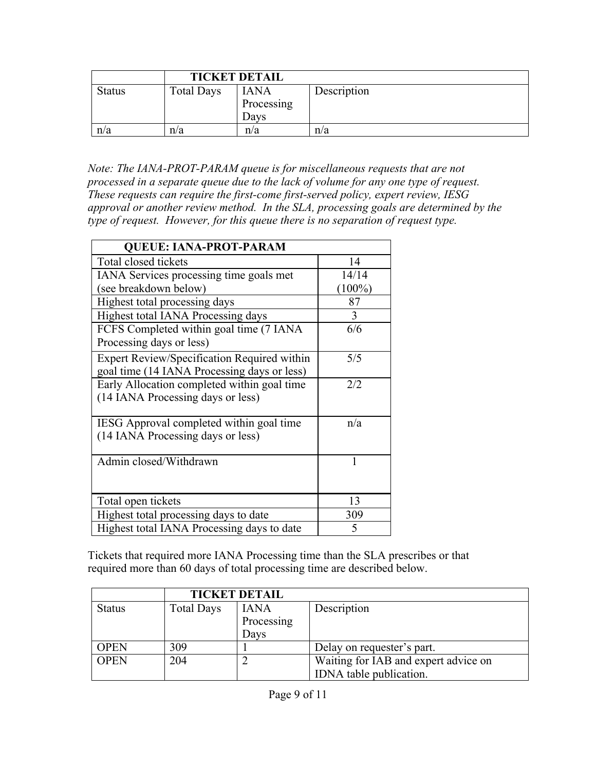|               | <b>TICKET DETAIL</b> |                                   |             |
|---------------|----------------------|-----------------------------------|-------------|
| <b>Status</b> | <b>Total Days</b>    | <b>IANA</b><br>Processing<br>Davs | Description |
| n/a           | n/a                  | n/a                               | n/a         |

*Note: The IANA-PROT-PARAM queue is for miscellaneous requests that are not processed in a separate queue due to the lack of volume for any one type of request. These requests can require the first-come first-served policy, expert review, IESG approval or another review method. In the SLA, processing goals are determined by the type of request. However, for this queue there is no separation of request type.*

| <b>QUEUE: IANA-PROT-PARAM</b>               |           |  |  |
|---------------------------------------------|-----------|--|--|
| Total closed tickets                        | 14        |  |  |
| IANA Services processing time goals met     | 14/14     |  |  |
| (see breakdown below)                       | $(100\%)$ |  |  |
| Highest total processing days               | 87        |  |  |
| Highest total IANA Processing days          | 3         |  |  |
| FCFS Completed within goal time (7 IANA     | 6/6       |  |  |
| Processing days or less)                    |           |  |  |
| Expert Review/Specification Required within | 5/5       |  |  |
| goal time (14 IANA Processing days or less) |           |  |  |
| Early Allocation completed within goal time | 2/2       |  |  |
| (14 IANA Processing days or less)           |           |  |  |
|                                             |           |  |  |
| IESG Approval completed within goal time    | n/a       |  |  |
| (14 IANA Processing days or less)           |           |  |  |
|                                             |           |  |  |
| Admin closed/Withdrawn                      | 1         |  |  |
|                                             |           |  |  |
|                                             |           |  |  |
| Total open tickets                          | 13        |  |  |
| Highest total processing days to date       | 309       |  |  |
| Highest total IANA Processing days to date  | 5         |  |  |

|               | <b>TICKET DETAIL</b> |             |                                      |
|---------------|----------------------|-------------|--------------------------------------|
| <b>Status</b> | <b>Total Days</b>    | <b>IANA</b> | Description                          |
|               |                      | Processing  |                                      |
|               |                      | Days        |                                      |
| <b>OPEN</b>   | 309                  |             | Delay on requester's part.           |
| <b>OPEN</b>   | 204                  |             | Waiting for IAB and expert advice on |
|               |                      |             | IDNA table publication.              |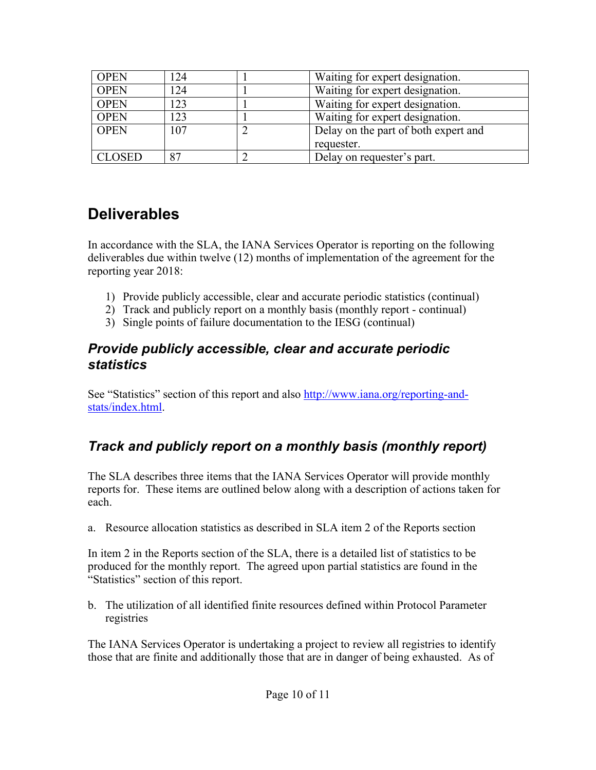| <b>OPEN</b>   | 124 |   | Waiting for expert designation.      |
|---------------|-----|---|--------------------------------------|
| <b>OPEN</b>   | 124 |   | Waiting for expert designation.      |
| <b>OPEN</b>   | 123 |   | Waiting for expert designation.      |
| <b>OPEN</b>   | 123 |   | Waiting for expert designation.      |
| <b>OPEN</b>   | 107 | ∠ | Delay on the part of both expert and |
|               |     |   | requester.                           |
| <b>CLOSED</b> | 87  |   | Delay on requester's part.           |

## **Deliverables**

In accordance with the SLA, the IANA Services Operator is reporting on the following deliverables due within twelve (12) months of implementation of the agreement for the reporting year 2018:

- 1) Provide publicly accessible, clear and accurate periodic statistics (continual)
- 2) Track and publicly report on a monthly basis (monthly report continual)
- 3) Single points of failure documentation to the IESG (continual)

#### *Provide publicly accessible, clear and accurate periodic statistics*

See "Statistics" section of this report and also http://www.iana.org/reporting-andstats/index.html.

## *Track and publicly report on a monthly basis (monthly report)*

The SLA describes three items that the IANA Services Operator will provide monthly reports for. These items are outlined below along with a description of actions taken for each.

a. Resource allocation statistics as described in SLA item 2 of the Reports section

In item 2 in the Reports section of the SLA, there is a detailed list of statistics to be produced for the monthly report. The agreed upon partial statistics are found in the "Statistics" section of this report.

b. The utilization of all identified finite resources defined within Protocol Parameter registries

The IANA Services Operator is undertaking a project to review all registries to identify those that are finite and additionally those that are in danger of being exhausted. As of